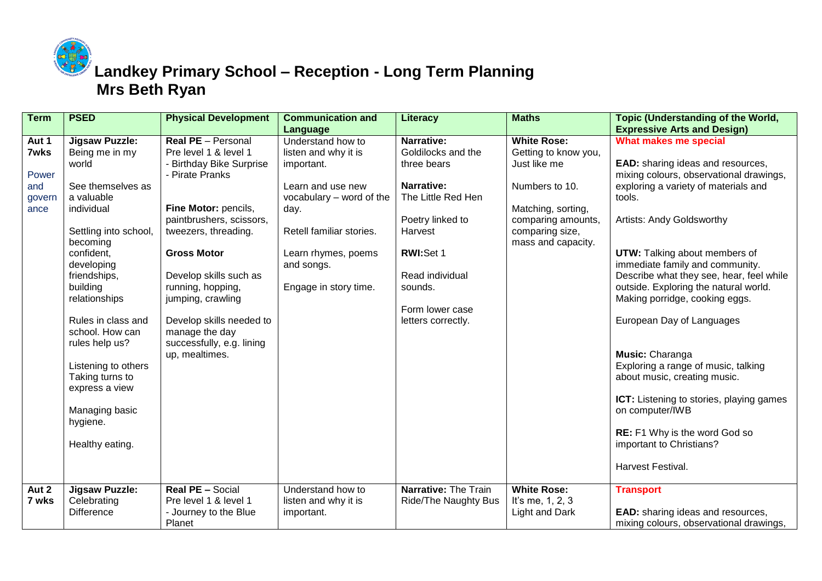

**Landkey Primary School – Reception - Long Term Planning Mrs Beth Ryan**

| <b>Term</b> | <b>PSED</b>           | <b>Physical Development</b> | <b>Communication and</b> | Literacy                    | <b>Maths</b>          | Topic (Understanding of the World,                                 |
|-------------|-----------------------|-----------------------------|--------------------------|-----------------------------|-----------------------|--------------------------------------------------------------------|
|             |                       |                             | Language                 |                             |                       | <b>Expressive Arts and Design)</b>                                 |
| Aut 1       | <b>Jigsaw Puzzle:</b> | <b>Real PE</b> - Personal   | Understand how to        | Narrative:                  | <b>White Rose:</b>    | What makes me special                                              |
| <b>7wks</b> | Being me in my        | Pre level 1 & level 1       | listen and why it is     | Goldilocks and the          | Getting to know you,  |                                                                    |
|             | world                 | - Birthday Bike Surprise    | important.               | three bears                 | Just like me          | EAD: sharing ideas and resources,                                  |
| Power       |                       | - Pirate Pranks             |                          |                             |                       | mixing colours, observational drawings,                            |
| and         | See themselves as     |                             | Learn and use new        | Narrative:                  | Numbers to 10.        | exploring a variety of materials and                               |
| govern      | a valuable            |                             | vocabulary – word of the | The Little Red Hen          |                       | tools.                                                             |
| ance        | individual            | Fine Motor: pencils,        | day.                     |                             | Matching, sorting,    |                                                                    |
|             |                       | paintbrushers, scissors,    |                          | Poetry linked to            | comparing amounts,    | Artists: Andy Goldsworthy                                          |
|             | Settling into school, | tweezers, threading.        | Retell familiar stories. | Harvest                     | comparing size,       |                                                                    |
|             | becoming              |                             |                          |                             | mass and capacity.    |                                                                    |
|             | confident,            | <b>Gross Motor</b>          | Learn rhymes, poems      | RWI:Set 1                   |                       | UTW: Talking about members of                                      |
|             | developing            |                             | and songs.               |                             |                       | immediate family and community.                                    |
|             | friendships,          | Develop skills such as      |                          | Read individual             |                       | Describe what they see, hear, feel while                           |
|             | building              | running, hopping,           | Engage in story time.    | sounds.                     |                       | outside. Exploring the natural world.                              |
|             | relationships         | jumping, crawling           |                          |                             |                       | Making porridge, cooking eggs.                                     |
|             |                       |                             |                          | Form lower case             |                       |                                                                    |
|             | Rules in class and    | Develop skills needed to    |                          | letters correctly.          |                       | European Day of Languages                                          |
|             | school. How can       | manage the day              |                          |                             |                       |                                                                    |
|             | rules help us?        | successfully, e.g. lining   |                          |                             |                       |                                                                    |
|             |                       | up, mealtimes.              |                          |                             |                       | Music: Charanga                                                    |
|             | Listening to others   |                             |                          |                             |                       | Exploring a range of music, talking                                |
|             | Taking turns to       |                             |                          |                             |                       | about music, creating music.                                       |
|             | express a view        |                             |                          |                             |                       |                                                                    |
|             | Managing basic        |                             |                          |                             |                       | <b>ICT:</b> Listening to stories, playing games<br>on computer/IWB |
|             | hygiene.              |                             |                          |                             |                       |                                                                    |
|             |                       |                             |                          |                             |                       | <b>RE:</b> F1 Why is the word God so                               |
|             | Healthy eating.       |                             |                          |                             |                       | important to Christians?                                           |
|             |                       |                             |                          |                             |                       |                                                                    |
|             |                       |                             |                          |                             |                       | Harvest Festival.                                                  |
|             |                       |                             |                          |                             |                       |                                                                    |
| Aut 2       | Jigsaw Puzzle:        | Real PE - Social            | Understand how to        | Narrative: The Train        | <b>White Rose:</b>    | <b>Transport</b>                                                   |
| 7 wks       | Celebrating           | Pre level 1 & level 1       | listen and why it is     | <b>Ride/The Naughty Bus</b> | It's me, 1, 2, 3      |                                                                    |
|             | <b>Difference</b>     | - Journey to the Blue       | important.               |                             | <b>Light and Dark</b> | <b>EAD:</b> sharing ideas and resources,                           |
|             |                       | Planet                      |                          |                             |                       | mixing colours, observational drawings,                            |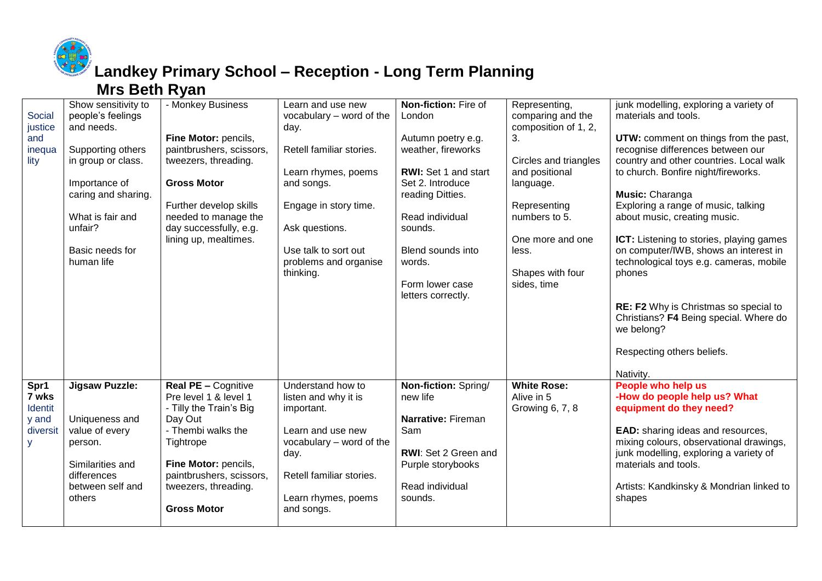

## **Landkey Primary School – Reception - Long Term Planning**

#### **Mrs Beth Ryan**

| Social<br>justice<br>and<br>inequa<br>lity                | Show sensitivity to<br>people's feelings<br>and needs.<br>Supporting others<br>in group or class.<br>Importance of<br>caring and sharing.<br>What is fair and<br>unfair?<br>Basic needs for<br>human life | - Monkey Business<br>Fine Motor: pencils,<br>paintbrushers, scissors,<br>tweezers, threading.<br><b>Gross Motor</b><br>Further develop skills<br>needed to manage the<br>day successfully, e.g.<br>lining up, mealtimes.       | Learn and use new<br>vocabulary - word of the<br>day.<br>Retell familiar stories.<br>Learn rhymes, poems<br>and songs.<br>Engage in story time.<br>Ask questions.<br>Use talk to sort out<br>problems and organise<br>thinking. | Non-fiction: Fire of<br>London<br>Autumn poetry e.g.<br>weather, fireworks<br>RWI: Set 1 and start<br>Set 2. Introduce<br>reading Ditties.<br>Read individual<br>sounds.<br>Blend sounds into<br>words. | Representing,<br>comparing and the<br>composition of 1, 2,<br>3.<br>Circles and triangles<br>and positional<br>language.<br>Representing<br>numbers to 5.<br>One more and one<br>less.<br>Shapes with four | junk modelling, exploring a variety of<br>materials and tools.<br>UTW: comment on things from the past,<br>recognise differences between our<br>country and other countries. Local walk<br>to church. Bonfire night/fireworks.<br>Music: Charanga<br>Exploring a range of music, talking<br>about music, creating music.<br>ICT: Listening to stories, playing games<br>on computer/IWB, shows an interest in<br>technological toys e.g. cameras, mobile<br>phones |
|-----------------------------------------------------------|-----------------------------------------------------------------------------------------------------------------------------------------------------------------------------------------------------------|--------------------------------------------------------------------------------------------------------------------------------------------------------------------------------------------------------------------------------|---------------------------------------------------------------------------------------------------------------------------------------------------------------------------------------------------------------------------------|---------------------------------------------------------------------------------------------------------------------------------------------------------------------------------------------------------|------------------------------------------------------------------------------------------------------------------------------------------------------------------------------------------------------------|--------------------------------------------------------------------------------------------------------------------------------------------------------------------------------------------------------------------------------------------------------------------------------------------------------------------------------------------------------------------------------------------------------------------------------------------------------------------|
|                                                           |                                                                                                                                                                                                           |                                                                                                                                                                                                                                |                                                                                                                                                                                                                                 | Form lower case<br>letters correctly.                                                                                                                                                                   | sides, time                                                                                                                                                                                                | RE: F2 Why is Christmas so special to<br>Christians? F4 Being special. Where do<br>we belong?<br>Respecting others beliefs.<br>Nativity.                                                                                                                                                                                                                                                                                                                           |
| Spr1<br>7 wks<br><b>Identit</b><br>y and<br>diversit<br>y | <b>Jigsaw Puzzle:</b><br>Uniqueness and<br>value of every<br>person.<br>Similarities and<br>differences<br>between self and<br>others                                                                     | <b>Real PE - Cognitive</b><br>Pre level 1 & level 1<br>- Tilly the Train's Big<br>Day Out<br>- Thembi walks the<br>Tightrope<br>Fine Motor: pencils,<br>paintbrushers, scissors,<br>tweezers, threading.<br><b>Gross Motor</b> | Understand how to<br>listen and why it is<br>important.<br>Learn and use new<br>vocabulary - word of the<br>day.<br>Retell familiar stories.<br>Learn rhymes, poems<br>and songs.                                               | Non-fiction: Spring/<br>new life<br>Narrative: Fireman<br>Sam<br>RWI: Set 2 Green and<br>Purple storybooks<br>Read individual<br>sounds.                                                                | <b>White Rose:</b><br>Alive in 5<br>Growing 6, 7, 8                                                                                                                                                        | People who help us<br>-How do people help us? What<br>equipment do they need?<br>EAD: sharing ideas and resources,<br>mixing colours, observational drawings,<br>junk modelling, exploring a variety of<br>materials and tools.<br>Artists: Kandkinsky & Mondrian linked to<br>shapes                                                                                                                                                                              |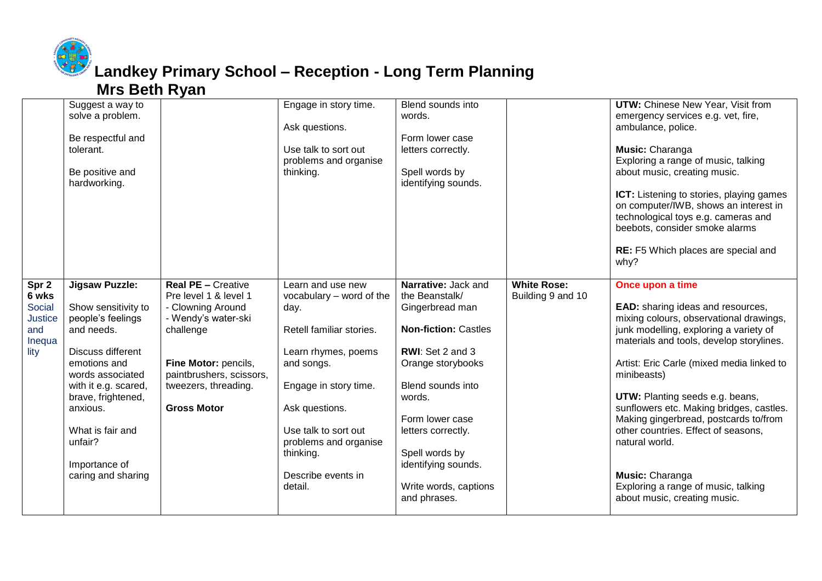

#### **Landkey Primary School – Reception - Long Term Planning Mrs Beth Ryan**

|                                                              | Suggest a way to<br>solve a problem.<br>Be respectful and<br>tolerant.<br>Be positive and<br>hardworking.                                                                                                                                                                |                                                                                                                                                                                                               | Engage in story time.<br>Ask questions.<br>Use talk to sort out<br>problems and organise<br>thinking.                                                                                                                                                            | Blend sounds into<br>words.<br>Form lower case<br>letters correctly.<br>Spell words by<br>identifying sounds.                                                                                                                                                                              |                                         | <b>UTW:</b> Chinese New Year, Visit from<br>emergency services e.g. vet, fire,<br>ambulance, police.<br>Music: Charanga<br>Exploring a range of music, talking<br>about music, creating music.<br><b>ICT:</b> Listening to stories, playing games<br>on computer/IWB, shows an interest in<br>technological toys e.g. cameras and<br>beebots, consider smoke alarms<br>RE: F5 Which places are special and<br>why?                                                                                                                   |
|--------------------------------------------------------------|--------------------------------------------------------------------------------------------------------------------------------------------------------------------------------------------------------------------------------------------------------------------------|---------------------------------------------------------------------------------------------------------------------------------------------------------------------------------------------------------------|------------------------------------------------------------------------------------------------------------------------------------------------------------------------------------------------------------------------------------------------------------------|--------------------------------------------------------------------------------------------------------------------------------------------------------------------------------------------------------------------------------------------------------------------------------------------|-----------------------------------------|--------------------------------------------------------------------------------------------------------------------------------------------------------------------------------------------------------------------------------------------------------------------------------------------------------------------------------------------------------------------------------------------------------------------------------------------------------------------------------------------------------------------------------------|
| Spr 2<br>6 wks<br>Social<br>Justice<br>and<br>Inequa<br>lity | <b>Jigsaw Puzzle:</b><br>Show sensitivity to<br>people's feelings<br>and needs.<br>Discuss different<br>emotions and<br>words associated<br>with it e.g. scared,<br>brave, frightened,<br>anxious.<br>What is fair and<br>unfair?<br>Importance of<br>caring and sharing | <b>Real PE - Creative</b><br>Pre level 1 & level 1<br>- Clowning Around<br>- Wendy's water-ski<br>challenge<br>Fine Motor: pencils,<br>paintbrushers, scissors,<br>tweezers, threading.<br><b>Gross Motor</b> | Learn and use new<br>vocabulary - word of the<br>day.<br>Retell familiar stories.<br>Learn rhymes, poems<br>and songs.<br>Engage in story time.<br>Ask questions.<br>Use talk to sort out<br>problems and organise<br>thinking.<br>Describe events in<br>detail. | Narrative: Jack and<br>the Beanstalk/<br>Gingerbread man<br><b>Non-fiction: Castles</b><br>RWI: Set 2 and 3<br>Orange storybooks<br>Blend sounds into<br>words.<br>Form lower case<br>letters correctly.<br>Spell words by<br>identifying sounds.<br>Write words, captions<br>and phrases. | <b>White Rose:</b><br>Building 9 and 10 | Once upon a time<br><b>EAD:</b> sharing ideas and resources,<br>mixing colours, observational drawings,<br>junk modelling, exploring a variety of<br>materials and tools, develop storylines.<br>Artist: Eric Carle (mixed media linked to<br>minibeasts)<br>UTW: Planting seeds e.g. beans,<br>sunflowers etc. Making bridges, castles.<br>Making gingerbread, postcards to/from<br>other countries. Effect of seasons,<br>natural world.<br>Music: Charanga<br>Exploring a range of music, talking<br>about music, creating music. |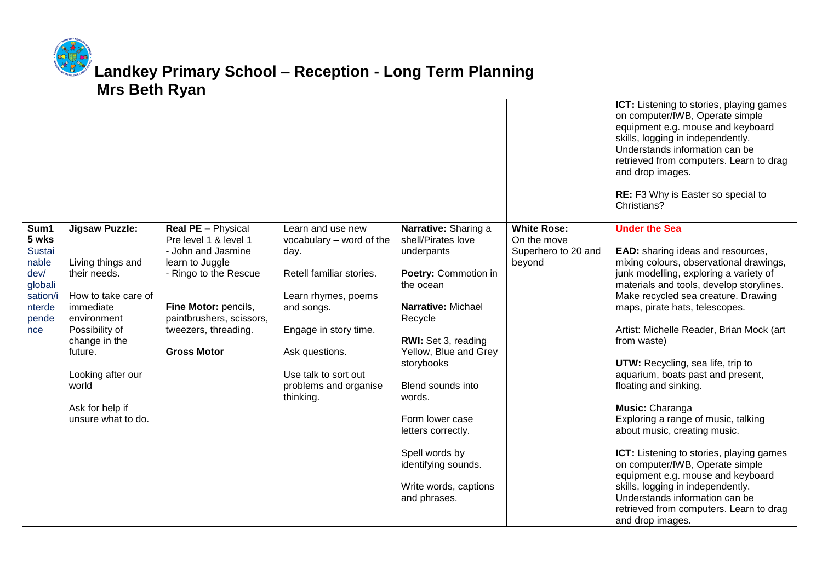

### **Landkey Primary School – Reception - Long Term Planning Mrs Beth Ryan**

|                                                                                                  |                                                                                                                                                                                                                                    |                                                                                                                                                                                                                        |                                                                                                                                                                                                                                 |                                                                                                                                                                                                                                                                                                                                                        |                                                                    | ICT: Listening to stories, playing games<br>on computer/IWB, Operate simple<br>equipment e.g. mouse and keyboard<br>skills, logging in independently.<br>Understands information can be<br>retrieved from computers. Learn to drag<br>and drop images.<br><b>RE:</b> F3 Why is Easter so special to<br>Christians?                                                                                                                                                                                                                                                                                                                                                                                                                                                                           |
|--------------------------------------------------------------------------------------------------|------------------------------------------------------------------------------------------------------------------------------------------------------------------------------------------------------------------------------------|------------------------------------------------------------------------------------------------------------------------------------------------------------------------------------------------------------------------|---------------------------------------------------------------------------------------------------------------------------------------------------------------------------------------------------------------------------------|--------------------------------------------------------------------------------------------------------------------------------------------------------------------------------------------------------------------------------------------------------------------------------------------------------------------------------------------------------|--------------------------------------------------------------------|----------------------------------------------------------------------------------------------------------------------------------------------------------------------------------------------------------------------------------------------------------------------------------------------------------------------------------------------------------------------------------------------------------------------------------------------------------------------------------------------------------------------------------------------------------------------------------------------------------------------------------------------------------------------------------------------------------------------------------------------------------------------------------------------|
| Sum1<br>5 wks<br><b>Sustai</b><br>nable<br>dev/<br>globali<br>sation/i<br>nterde<br>pende<br>nce | <b>Jigsaw Puzzle:</b><br>Living things and<br>their needs.<br>How to take care of<br>immediate<br>environment<br>Possibility of<br>change in the<br>future.<br>Looking after our<br>world<br>Ask for help if<br>unsure what to do. | <b>Real PE - Physical</b><br>Pre level 1 & level 1<br>- John and Jasmine<br>learn to Juggle<br>- Ringo to the Rescue<br>Fine Motor: pencils,<br>paintbrushers, scissors,<br>tweezers, threading.<br><b>Gross Motor</b> | Learn and use new<br>vocabulary - word of the<br>day.<br>Retell familiar stories.<br>Learn rhymes, poems<br>and songs.<br>Engage in story time.<br>Ask questions.<br>Use talk to sort out<br>problems and organise<br>thinking. | Narrative: Sharing a<br>shell/Pirates love<br>underpants<br>Poetry: Commotion in<br>the ocean<br>Narrative: Michael<br>Recycle<br>RWI: Set 3, reading<br>Yellow, Blue and Grey<br>storybooks<br>Blend sounds into<br>words.<br>Form lower case<br>letters correctly.<br>Spell words by<br>identifying sounds.<br>Write words, captions<br>and phrases. | <b>White Rose:</b><br>On the move<br>Superhero to 20 and<br>beyond | <b>Under the Sea</b><br><b>EAD:</b> sharing ideas and resources,<br>mixing colours, observational drawings,<br>junk modelling, exploring a variety of<br>materials and tools, develop storylines.<br>Make recycled sea creature. Drawing<br>maps, pirate hats, telescopes.<br>Artist: Michelle Reader, Brian Mock (art<br>from waste)<br>UTW: Recycling, sea life, trip to<br>aquarium, boats past and present,<br>floating and sinking.<br>Music: Charanga<br>Exploring a range of music, talking<br>about music, creating music.<br>ICT: Listening to stories, playing games<br>on computer/IWB, Operate simple<br>equipment e.g. mouse and keyboard<br>skills, logging in independently.<br>Understands information can be<br>retrieved from computers. Learn to drag<br>and drop images. |